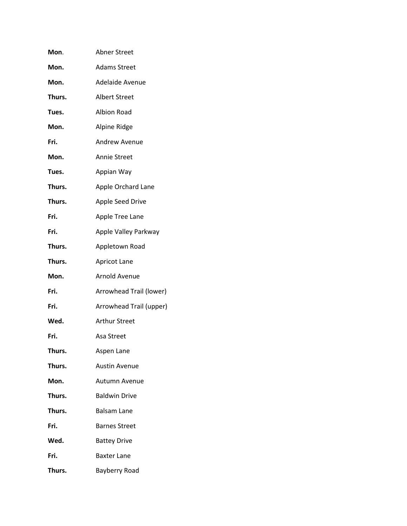| Mon.   | <b>Abner Street</b>     |
|--------|-------------------------|
| Mon.   | <b>Adams Street</b>     |
| Mon.   | Adelaide Avenue         |
| Thurs. | <b>Albert Street</b>    |
| Tues.  | <b>Albion Road</b>      |
| Mon.   | Alpine Ridge            |
| Fri.   | <b>Andrew Avenue</b>    |
| Mon.   | <b>Annie Street</b>     |
| Tues.  | Appian Way              |
| Thurs. | Apple Orchard Lane      |
| Thurs. | <b>Apple Seed Drive</b> |
| Fri.   | Apple Tree Lane         |
| Fri.   | Apple Valley Parkway    |
| Thurs. | Appletown Road          |
| Thurs. | <b>Apricot Lane</b>     |
| Mon.   | <b>Arnold Avenue</b>    |
| Fri.   | Arrowhead Trail (lower) |
| Fri.   | Arrowhead Trail (upper) |
| Wed.   | <b>Arthur Street</b>    |
| Fri.   | Asa Street              |
| Thurs. | Aspen Lane              |
| Thurs. | <b>Austin Avenue</b>    |
| Mon.   | Autumn Avenue           |
| Thurs. | <b>Baldwin Drive</b>    |
| Thurs. | <b>Balsam Lane</b>      |
| Fri.   | <b>Barnes Street</b>    |
| Wed.   | <b>Battey Drive</b>     |
| Fri.   | <b>Baxter Lane</b>      |
| Thurs. | <b>Bayberry Road</b>    |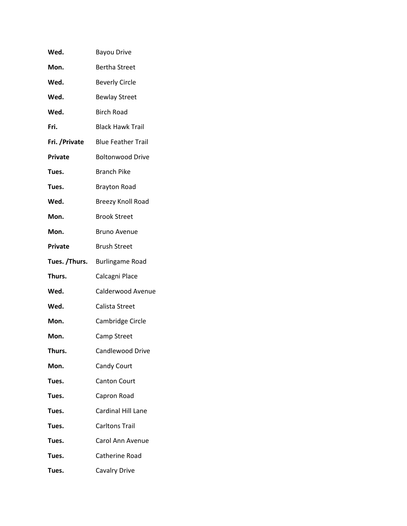| Wed.           | <b>Bayou Drive</b>        |
|----------------|---------------------------|
| Mon.           | <b>Bertha Street</b>      |
| Wed.           | <b>Beverly Circle</b>     |
| Wed.           | <b>Bewlay Street</b>      |
| Wed.           | <b>Birch Road</b>         |
| Fri.           | <b>Black Hawk Trail</b>   |
| Fri. / Private | <b>Blue Feather Trail</b> |
| <b>Private</b> | <b>Boltonwood Drive</b>   |
| Tues.          | <b>Branch Pike</b>        |
| Tues.          | <b>Brayton Road</b>       |
| Wed.           | <b>Breezy Knoll Road</b>  |
| Mon.           | <b>Brook Street</b>       |
| Mon.           | <b>Bruno Avenue</b>       |
| <b>Private</b> | <b>Brush Street</b>       |
| Tues. /Thurs.  | <b>Burlingame Road</b>    |
| Thurs.         | Calcagni Place            |
| Wed.           | Calderwood Avenue         |
| Wed.           | Calista Street            |
| Mon.           | Cambridge Circle          |
| Mon.           | Camp Street               |
| Thurs.         | Candlewood Drive          |
| Mon.           | Candy Court               |
| Tues.          | <b>Canton Court</b>       |
| Tues.          | Capron Road               |
| Tues.          | <b>Cardinal Hill Lane</b> |
| Tues.          | <b>Carltons Trail</b>     |
| Tues.          | Carol Ann Avenue          |
| Tues.          | Catherine Road            |
| Tues.          | <b>Cavalry Drive</b>      |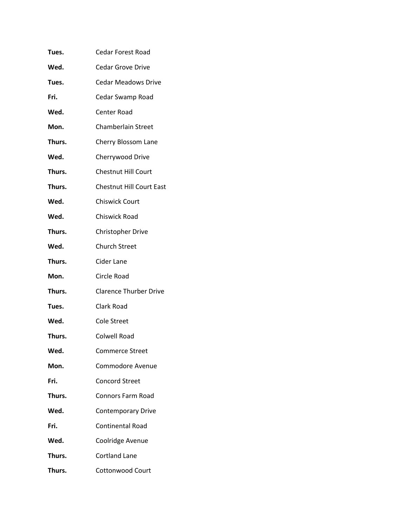| Tues.  | <b>Cedar Forest Road</b>        |
|--------|---------------------------------|
| Wed.   | <b>Cedar Grove Drive</b>        |
| Tues.  | <b>Cedar Meadows Drive</b>      |
| Fri.   | Cedar Swamp Road                |
| Wed.   | Center Road                     |
| Mon.   | Chamberlain Street              |
| Thurs. | Cherry Blossom Lane             |
| Wed.   | Cherrywood Drive                |
| Thurs. | <b>Chestnut Hill Court</b>      |
| Thurs. | <b>Chestnut Hill Court East</b> |
| Wed.   | <b>Chiswick Court</b>           |
| Wed.   | Chiswick Road                   |
| Thurs. | <b>Christopher Drive</b>        |
| Wed.   | <b>Church Street</b>            |
| Thurs. | Cider Lane                      |
| Mon.   | Circle Road                     |
| Thurs. | <b>Clarence Thurber Drive</b>   |
| Tues.  | Clark Road                      |
| Wed.   | Cole Street                     |
| Thurs. | <b>Colwell Road</b>             |
| Wed.   | Commerce Street                 |
| Mon.   | Commodore Avenue                |
| Fri.   | <b>Concord Street</b>           |
| Thurs. | <b>Connors Farm Road</b>        |
| Wed.   | <b>Contemporary Drive</b>       |
| Fri.   | <b>Continental Road</b>         |
| Wed.   | Coolridge Avenue                |
| Thurs. | <b>Cortland Lane</b>            |
| Thurs. | Cottonwood Court                |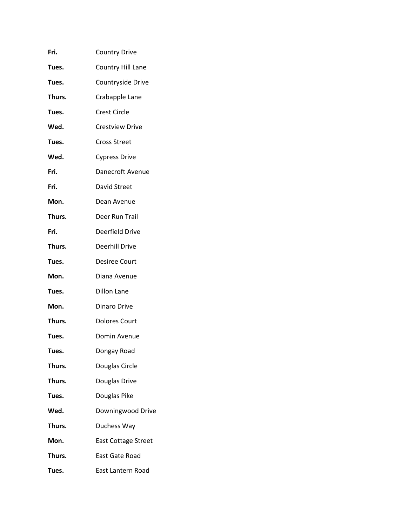| Fri.   | <b>Country Drive</b>       |
|--------|----------------------------|
| Tues.  | Country Hill Lane          |
| Tues.  | Countryside Drive          |
| Thurs. | Crabapple Lane             |
| Tues.  | <b>Crest Circle</b>        |
| Wed.   | <b>Crestview Drive</b>     |
| Tues.  | <b>Cross Street</b>        |
| Wed.   | <b>Cypress Drive</b>       |
| Fri.   | Danecroft Avenue           |
| Fri.   | David Street               |
| Mon.   | Dean Avenue                |
| Thurs. | Deer Run Trail             |
| Fri.   | Deerfield Drive            |
| Thurs. | <b>Deerhill Drive</b>      |
| Tues.  | <b>Desiree Court</b>       |
| Mon.   | Diana Avenue               |
| Tues.  | <b>Dillon Lane</b>         |
| Mon.   | Dinaro Drive               |
| Thurs. | <b>Dolores Court</b>       |
| Tues.  | Domin Avenue               |
| Tues.  | Dongay Road                |
| Thurs. | Douglas Circle             |
| Thurs. | Douglas Drive              |
| Tues.  | Douglas Pike               |
| Wed.   | Downingwood Drive          |
| Thurs. | Duchess Way                |
| Mon.   | <b>East Cottage Street</b> |
| Thurs. | East Gate Road             |
| Tues.  | East Lantern Road          |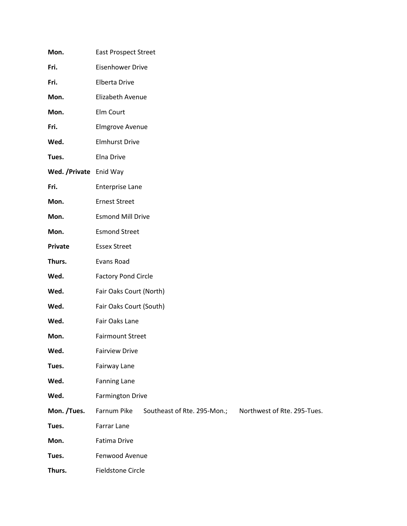| Mon.                    | <b>East Prospect Street</b>                                               |  |
|-------------------------|---------------------------------------------------------------------------|--|
| Fri.                    | <b>Eisenhower Drive</b>                                                   |  |
| Fri.                    | Elberta Drive                                                             |  |
| Mon.                    | Elizabeth Avenue                                                          |  |
| Mon.                    | Elm Court                                                                 |  |
| Fri.                    | <b>Elmgrove Avenue</b>                                                    |  |
| Wed.                    | <b>Elmhurst Drive</b>                                                     |  |
| Tues.                   | Elna Drive                                                                |  |
| Wed. / Private Enid Way |                                                                           |  |
| Fri.                    | <b>Enterprise Lane</b>                                                    |  |
| Mon.                    | <b>Ernest Street</b>                                                      |  |
| Mon.                    | <b>Esmond Mill Drive</b>                                                  |  |
| Mon.                    | <b>Esmond Street</b>                                                      |  |
| Private                 | <b>Essex Street</b>                                                       |  |
| Thurs.                  | Evans Road                                                                |  |
| Wed.                    | <b>Factory Pond Circle</b>                                                |  |
| Wed.                    | Fair Oaks Court (North)                                                   |  |
| Wed.                    | Fair Oaks Court (South)                                                   |  |
| Wed.                    | Fair Oaks Lane                                                            |  |
| Mon.                    | <b>Fairmount Street</b>                                                   |  |
| Wed.                    | <b>Fairview Drive</b>                                                     |  |
| Tues.                   | Fairway Lane                                                              |  |
| Wed.                    | <b>Fanning Lane</b>                                                       |  |
| Wed.                    | <b>Farmington Drive</b>                                                   |  |
| Mon. /Tues.             | Farnum Pike<br>Southeast of Rte. 295-Mon.;<br>Northwest of Rte. 295-Tues. |  |
| Tues.                   | Farrar Lane                                                               |  |
| Mon.                    | Fatima Drive                                                              |  |
| Tues.                   | Fenwood Avenue                                                            |  |
| Thurs.                  | <b>Fieldstone Circle</b>                                                  |  |
|                         |                                                                           |  |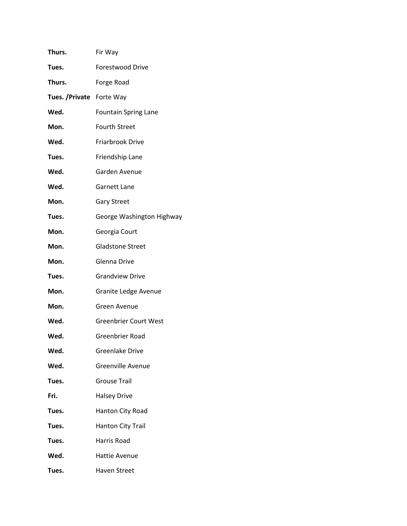| Thurs.                    | Fir Way                      |
|---------------------------|------------------------------|
| Tues.                     | <b>Forestwood Drive</b>      |
| Thurs.                    | Forge Road                   |
| Tues. / Private Forte Way |                              |
| Wed.                      | <b>Fountain Spring Lane</b>  |
| Mon.                      | <b>Fourth Street</b>         |
| Wed.                      | Friarbrook Drive             |
| Tues.                     | Friendship Lane              |
| Wed.                      | Garden Avenue                |
| Wed.                      | <b>Garnett Lane</b>          |
| Mon.                      | <b>Gary Street</b>           |
| Tues.                     | George Washington Highway    |
| Mon.                      | Georgia Court                |
| Mon.                      | <b>Gladstone Street</b>      |
| Mon.                      | Glenna Drive                 |
| Tues.                     | <b>Grandview Drive</b>       |
| Mon.                      | Granite Ledge Avenue         |
| Mon.                      | Green Avenue                 |
| Wed.                      | <b>Greenbrier Court West</b> |
| Wed.                      | <b>Greenbrier Road</b>       |
| Wed.                      | Greenlake Drive              |
| Wed.                      | <b>Greenville Avenue</b>     |
| Tues.                     | <b>Grouse Trail</b>          |
| Fri.                      | <b>Halsey Drive</b>          |
| Tues.                     | Hanton City Road             |
| Tues.                     | <b>Hanton City Trail</b>     |
| Tues.                     | Harris Road                  |
| Wed.                      | Hattie Avenue                |
| Tues.                     | <b>Haven Street</b>          |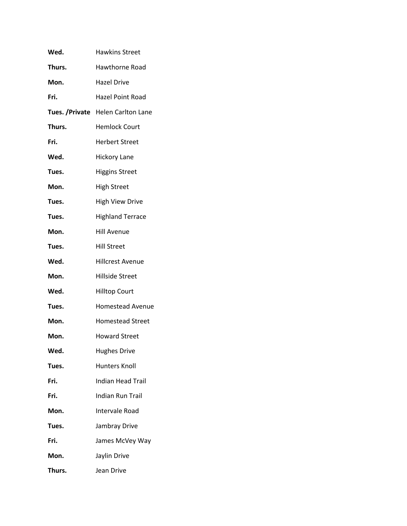| Wed.   | <b>Hawkins Street</b>              |
|--------|------------------------------------|
| Thurs. | <b>Hawthorne Road</b>              |
| Mon.   | <b>Hazel Drive</b>                 |
| Fri.   | <b>Hazel Point Road</b>            |
|        | Tues. / Private Helen Carlton Lane |
| Thurs. | <b>Hemlock Court</b>               |
| Fri.   | <b>Herbert Street</b>              |
| Wed.   | <b>Hickory Lane</b>                |
| Tues.  | <b>Higgins Street</b>              |
| Mon.   | <b>High Street</b>                 |
| Tues.  | <b>High View Drive</b>             |
| Tues.  | <b>Highland Terrace</b>            |
| Mon.   | <b>Hill Avenue</b>                 |
| Tues.  | <b>Hill Street</b>                 |
| Wed.   | <b>Hillcrest Avenue</b>            |
| Mon.   | <b>Hillside Street</b>             |
| Wed.   | <b>Hilltop Court</b>               |
| Tues.  | <b>Homestead Avenue</b>            |
| Mon.   | <b>Homestead Street</b>            |
| Mon.   | <b>Howard Street</b>               |
| Wed.   | <b>Hughes Drive</b>                |
| Tues.  | <b>Hunters Knoll</b>               |
| Fri.   | <b>Indian Head Trail</b>           |
| Fri.   | Indian Run Trail                   |
| Mon.   | Intervale Road                     |
| Tues.  | Jambray Drive                      |
| Fri.   | James McVey Way                    |
| Mon.   | Jaylin Drive                       |
| Thurs. | Jean Drive                         |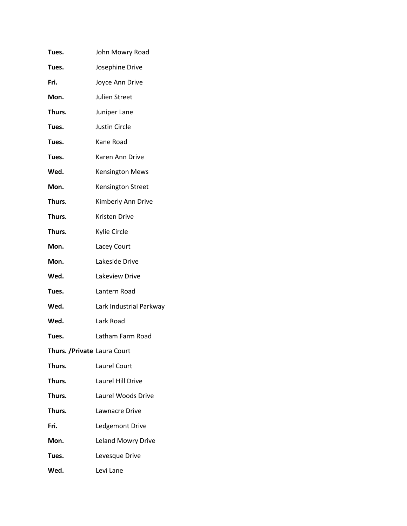| Tues.                        | John Mowry Road           |
|------------------------------|---------------------------|
| Tues.                        | Josephine Drive           |
| Fri.                         | Joyce Ann Drive           |
| Mon.                         | <b>Julien Street</b>      |
| Thurs.                       | Juniper Lane              |
| Tues.                        | <b>Justin Circle</b>      |
| Tues.                        | Kane Road                 |
| Tues.                        | Karen Ann Drive           |
| Wed.                         | <b>Kensington Mews</b>    |
| Mon.                         | Kensington Street         |
| Thurs.                       | Kimberly Ann Drive        |
| Thurs.                       | Kristen Drive             |
| Thurs.                       | Kylie Circle              |
| Mon.                         | Lacey Court               |
| Mon.                         | Lakeside Drive            |
| Wed.                         | Lakeview Drive            |
| Tues.                        | Lantern Road              |
| Wed.                         | Lark Industrial Parkway   |
| Wed.                         | Lark Road                 |
| Tues.                        | Latham Farm Road          |
| Thurs. / Private Laura Court |                           |
| Thurs.                       | Laurel Court              |
| Thurs.                       | Laurel Hill Drive         |
| Thurs.                       | Laurel Woods Drive        |
| Thurs.                       | Lawnacre Drive            |
| Fri.                         | Ledgemont Drive           |
| Mon.                         | <b>Leland Mowry Drive</b> |
| Tues.                        | Levesque Drive            |
| Wed.                         | Levi Lane                 |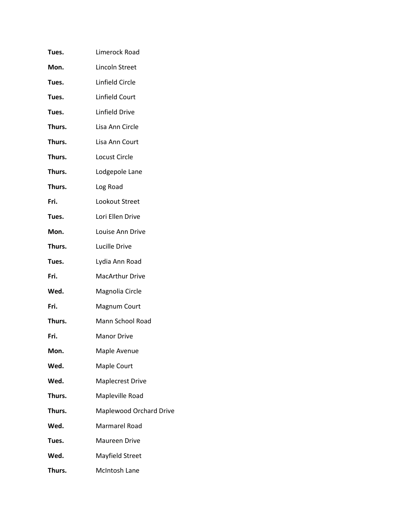| Tues.  | Limerock Road           |
|--------|-------------------------|
| Mon.   | Lincoln Street          |
| Tues.  | Linfield Circle         |
| Tues.  | Linfield Court          |
| Tues.  | Linfield Drive          |
| Thurs. | Lisa Ann Circle         |
| Thurs. | Lisa Ann Court          |
| Thurs. | Locust Circle           |
| Thurs. | Lodgepole Lane          |
| Thurs. | Log Road                |
| Fri.   | Lookout Street          |
| Tues.  | Lori Ellen Drive        |
| Mon.   | Louise Ann Drive        |
| Thurs. | Lucille Drive           |
| Tues.  | Lydia Ann Road          |
| Fri.   | <b>MacArthur Drive</b>  |
| Wed.   | Magnolia Circle         |
| Fri.   | Magnum Court            |
| Thurs. | Mann School Road        |
| Fri.   | <b>Manor Drive</b>      |
| Mon.   | Maple Avenue            |
| Wed.   | Maple Court             |
| Wed.   | <b>Maplecrest Drive</b> |
| Thurs. | Mapleville Road         |
| Thurs. | Maplewood Orchard Drive |
| Wed.   | <b>Marmarel Road</b>    |
| Tues.  | Maureen Drive           |
| Wed.   | Mayfield Street         |
| Thurs. | McIntosh Lane           |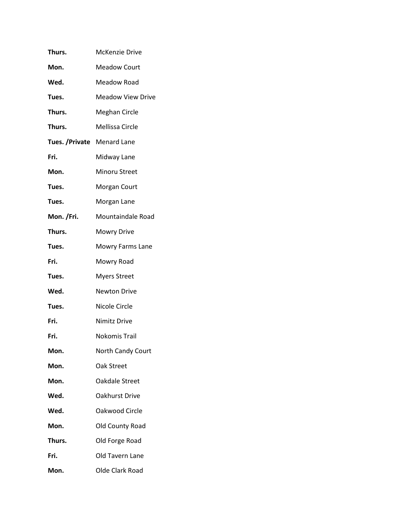| Thurs.                      | McKenzie Drive           |
|-----------------------------|--------------------------|
| Mon.                        | <b>Meadow Court</b>      |
| Wed.                        | <b>Meadow Road</b>       |
| Tues.                       | <b>Meadow View Drive</b> |
| Thurs.                      | <b>Meghan Circle</b>     |
| Thurs.                      | Mellissa Circle          |
| Tues. / Private Menard Lane |                          |
| Fri.                        | Midway Lane              |
| Mon.                        | Minoru Street            |
| Tues.                       | Morgan Court             |
| Tues.                       | Morgan Lane              |
| Mon. /Fri.                  | Mountaindale Road        |
| Thurs.                      | <b>Mowry Drive</b>       |
| Tues.                       | Mowry Farms Lane         |
| Fri.                        | Mowry Road               |
| Tues.                       | <b>Myers Street</b>      |
| Wed.                        | Newton Drive             |
| Tues.                       | Nicole Circle            |
| Fri.                        | Nimitz Drive             |
| Fri.                        | <b>Nokomis Trail</b>     |
| Mon.                        | North Candy Court        |
| Mon.                        | Oak Street               |
| Mon.                        | Oakdale Street           |
| Wed.                        | <b>Oakhurst Drive</b>    |
| Wed.                        | Oakwood Circle           |
| Mon.                        | Old County Road          |
| Thurs.                      | Old Forge Road           |
| Fri.                        | Old Tavern Lane          |
| Mon.                        | Olde Clark Road          |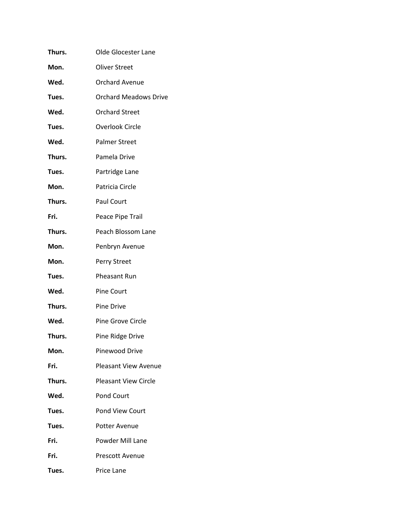| Thurs. | Olde Glocester Lane          |
|--------|------------------------------|
| Mon.   | Oliver Street                |
| Wed.   | <b>Orchard Avenue</b>        |
| Tues.  | <b>Orchard Meadows Drive</b> |
| Wed.   | <b>Orchard Street</b>        |
| Tues.  | <b>Overlook Circle</b>       |
| Wed.   | <b>Palmer Street</b>         |
| Thurs. | Pamela Drive                 |
| Tues.  | Partridge Lane               |
| Mon.   | Patricia Circle              |
| Thurs. | Paul Court                   |
| Fri.   | Peace Pipe Trail             |
| Thurs. | Peach Blossom Lane           |
| Mon.   | Penbryn Avenue               |
| Mon.   | Perry Street                 |
| Tues.  | Pheasant Run                 |
| Wed.   | <b>Pine Court</b>            |
| Thurs. | Pine Drive                   |
| Wed.   | Pine Grove Circle            |
| Thurs. | Pine Ridge Drive             |
| Mon.   | <b>Pinewood Drive</b>        |
| Fri.   | <b>Pleasant View Avenue</b>  |
| Thurs. | <b>Pleasant View Circle</b>  |
| Wed.   | Pond Court                   |
| Tues.  | Pond View Court              |
| Tues.  | Potter Avenue                |
| Fri.   | Powder Mill Lane             |
| Fri.   | <b>Prescott Avenue</b>       |
| Tues.  | Price Lane                   |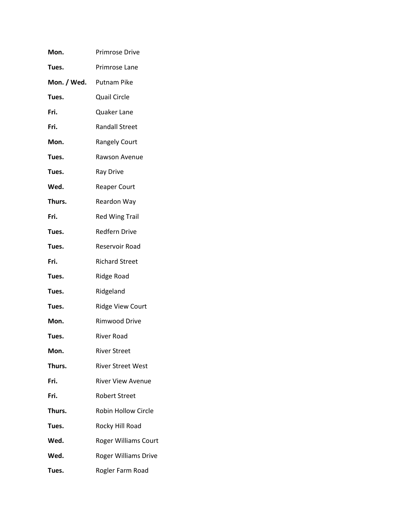| Mon.                    | <b>Primrose Drive</b>       |
|-------------------------|-----------------------------|
| Tues.                   | Primrose Lane               |
| Mon. / Wed. Putnam Pike |                             |
| Tues.                   | <b>Quail Circle</b>         |
| Fri.                    | Quaker Lane                 |
| Fri.                    | <b>Randall Street</b>       |
| Mon.                    | <b>Rangely Court</b>        |
| Tues.                   | Rawson Avenue               |
| Tues.                   | <b>Ray Drive</b>            |
| Wed.                    | <b>Reaper Court</b>         |
| Thurs.                  | Reardon Way                 |
| Fri.                    | <b>Red Wing Trail</b>       |
| Tues.                   | <b>Redfern Drive</b>        |
| Tues.                   | Reservoir Road              |
| Fri.                    | <b>Richard Street</b>       |
| Tues.                   | Ridge Road                  |
| Tues.                   | Ridgeland                   |
| Tues.                   | <b>Ridge View Court</b>     |
| Mon.                    | <b>Rimwood Drive</b>        |
| Tues.                   | <b>River Road</b>           |
| Mon.                    | <b>River Street</b>         |
| Thurs.                  | <b>River Street West</b>    |
| Fri.                    | <b>River View Avenue</b>    |
| Fri.                    | <b>Robert Street</b>        |
| Thurs.                  | <b>Robin Hollow Circle</b>  |
| Tues.                   | Rocky Hill Road             |
| Wed.                    | <b>Roger Williams Court</b> |
| Wed.                    | Roger Williams Drive        |
| Tues.                   | Rogler Farm Road            |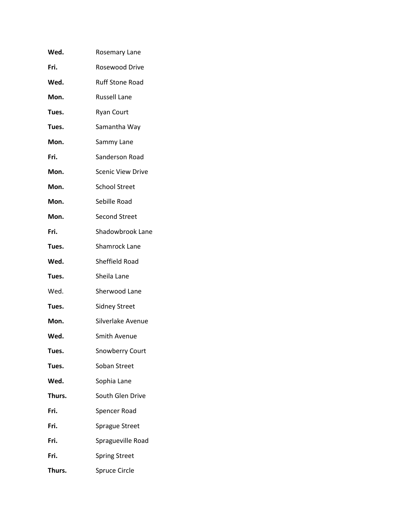| Wed.   | Rosemary Lane            |
|--------|--------------------------|
| Fri.   | Rosewood Drive           |
| Wed.   | <b>Ruff Stone Road</b>   |
| Mon.   | <b>Russell Lane</b>      |
| Tues.  | <b>Ryan Court</b>        |
| Tues.  | Samantha Way             |
| Mon.   | Sammy Lane               |
| Fri.   | Sanderson Road           |
| Mon.   | <b>Scenic View Drive</b> |
| Mon.   | <b>School Street</b>     |
| Mon.   | Sebille Road             |
| Mon.   | <b>Second Street</b>     |
| Fri.   | Shadowbrook Lane         |
| Tues.  | Shamrock Lane            |
| Wed.   | Sheffield Road           |
| Tues.  | Sheila Lane              |
| Wed.   | Sherwood Lane            |
| Tues.  | <b>Sidney Street</b>     |
| Mon.   | Silverlake Avenue        |
| Wed.   | Smith Avenue             |
| Tues.  | <b>Snowberry Court</b>   |
| Tues.  | Soban Street             |
| Wed.   | Sophia Lane              |
| Thurs. | South Glen Drive         |
| Fri.   | Spencer Road             |
| Fri.   | <b>Sprague Street</b>    |
| Fri.   | Spragueville Road        |
| Fri.   | <b>Spring Street</b>     |
| Thurs. | Spruce Circle            |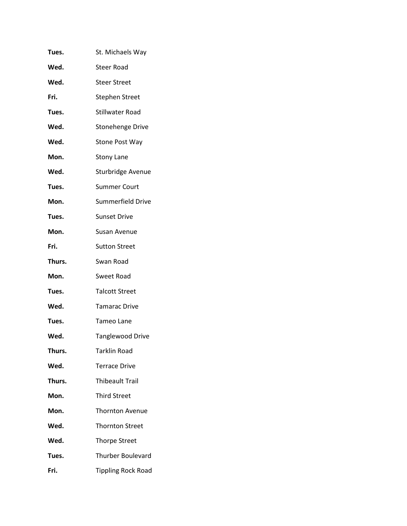| Tues.  | St. Michaels Way          |
|--------|---------------------------|
| Wed.   | <b>Steer Road</b>         |
| Wed.   | <b>Steer Street</b>       |
| Fri.   | <b>Stephen Street</b>     |
| Tues.  | Stillwater Road           |
| Wed.   | <b>Stonehenge Drive</b>   |
| Wed.   | <b>Stone Post Way</b>     |
| Mon.   | <b>Stony Lane</b>         |
| Wed.   | Sturbridge Avenue         |
| Tues.  | <b>Summer Court</b>       |
| Mon.   | Summerfield Drive         |
| Tues.  | <b>Sunset Drive</b>       |
| Mon.   | Susan Avenue              |
| Fri.   | <b>Sutton Street</b>      |
| Thurs. | Swan Road                 |
| Mon.   | Sweet Road                |
| Tues.  | <b>Talcott Street</b>     |
| Wed.   | <b>Tamarac Drive</b>      |
| Tues.  | <b>Tameo Lane</b>         |
| Wed.   | <b>Tanglewood Drive</b>   |
| Thurs. | <b>Tarklin Road</b>       |
| Wed.   | <b>Terrace Drive</b>      |
| Thurs. | <b>Thibeault Trail</b>    |
| Mon.   | <b>Third Street</b>       |
| Mon.   | <b>Thornton Avenue</b>    |
| Wed.   | <b>Thornton Street</b>    |
| Wed.   | <b>Thorpe Street</b>      |
| Tues.  | <b>Thurber Boulevard</b>  |
| Fri.   | <b>Tippling Rock Road</b> |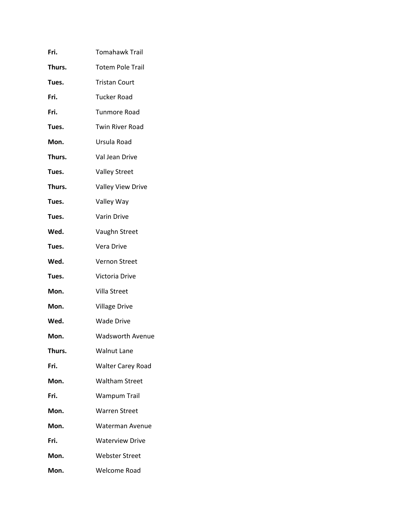| Fri.   | <b>Tomahawk Trail</b>    |
|--------|--------------------------|
| Thurs. | <b>Totem Pole Trail</b>  |
| Tues.  | <b>Tristan Court</b>     |
| Fri.   | <b>Tucker Road</b>       |
| Fri.   | Tunmore Road             |
| Tues.  | <b>Twin River Road</b>   |
| Mon.   | Ursula Road              |
| Thurs. | Val Jean Drive           |
| Tues.  | <b>Valley Street</b>     |
| Thurs. | Valley View Drive        |
| Tues.  | Valley Way               |
| Tues.  | Varin Drive              |
| Wed.   | Vaughn Street            |
| Tues.  | Vera Drive               |
| Wed.   | <b>Vernon Street</b>     |
| Tues.  | Victoria Drive           |
| Mon.   | Villa Street             |
| Mon.   | <b>Village Drive</b>     |
| Wed.   | <b>Wade Drive</b>        |
| Mon.   | <b>Wadsworth Avenue</b>  |
| Thurs. | <b>Walnut Lane</b>       |
| Fri.   | <b>Walter Carey Road</b> |
| Mon.   | <b>Waltham Street</b>    |
| Fri.   | <b>Wampum Trail</b>      |
| Mon.   | <b>Warren Street</b>     |
| Mon.   | Waterman Avenue          |
| Fri.   | <b>Waterview Drive</b>   |
| Mon.   | <b>Webster Street</b>    |
| Mon.   | Welcome Road             |